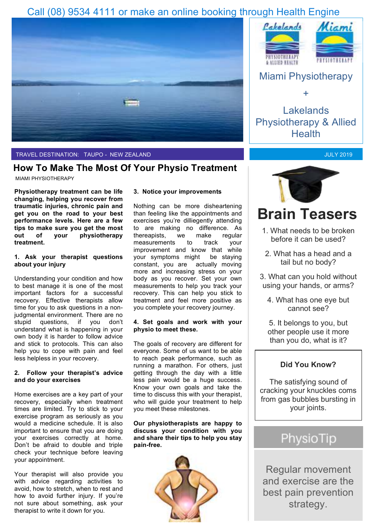# Call (08) 9534 4111 or make an online booking through Health Engine



# TRAVEL DESTINATION: TAUPO - NEW ZEALAND

# **How To Make The Most Of Your Physio Treatment**

#### MIAMI PHYSIOTHERAPY

**Physiotherapy treatment can be life changing, helping you recover from traumatic injuries, chronic pain and get you on the road to your best performance levels. Here are a few tips to make sure you get the most out of your physiotherapy treatment.** 

### **1. Ask your therapist questions about your injury**

Understanding your condition and how to best manage it is one of the most important factors for a successful recovery. Effective therapists allow time for you to ask questions in a nonjudgmental environment. There are no stupid questions, if you don't understand what is happening in your own body it is harder to follow advice and stick to protocols. This can also help you to cope with pain and feel less helpless in your recovery.

## **2. Follow your therapist's advice and do your exercises**

Home exercises are a key part of your recovery, especially when treatment times are limited. Try to stick to your exercise program as seriously as you would a medicine schedule. It is also important to ensure that you are doing your exercises correctly at home. Don't be afraid to double and triple check your technique before leaving your appointment.

Your therapist will also provide you with advice regarding activities to avoid, how to stretch, when to rest and how to avoid further injury. If you're not sure about something, ask your therapist to write it down for you.

#### **3. Notice your improvements**

Nothing can be more disheartening than feeling like the appointments and exercises you're dilliegently attending to are making no difference. As thereapists, we make regular measurements to track your improvement and know that while your symptoms might be staying constant, you are actually moving more and increasing stress on your body as you recover. Set your own measurements to help you track your recovery. This can help you stick to treatment and feel more positive as you complete your recovery journey.

# **4. Set goals and work with your physio to meet these.**

The goals of recovery are different for everyone. Some of us want to be able to reach peak performance, such as running a marathon. For others, just getting through the day with a little less pain would be a huge success. Know your own goals and take the time to discuss this with your therapist, who will guide your treatment to help you meet these milestones.

### **Our physiotherapists are happy to discuss your condition with you and share their tips to help you stay pain-free.**





# Miami Physiotherapy

+

# Lakelands Physiotherapy & Allied **Health**





# **Brain Teasers**

- 1. What needs to be broken before it can be used?
- 2. What has a head and a tail but no body?

3. What can you hold without using your hands, or arms?

4. What has one eye but cannot see?

5. It belongs to you, but other people use it more than you do, what is it?

# **Did You Know?**

The satisfying sound of cracking your knuckles coms from gas bubbles bursting in your joints.

# PhysioTip

Regular movement and exercise are the best pain prevention strategy.